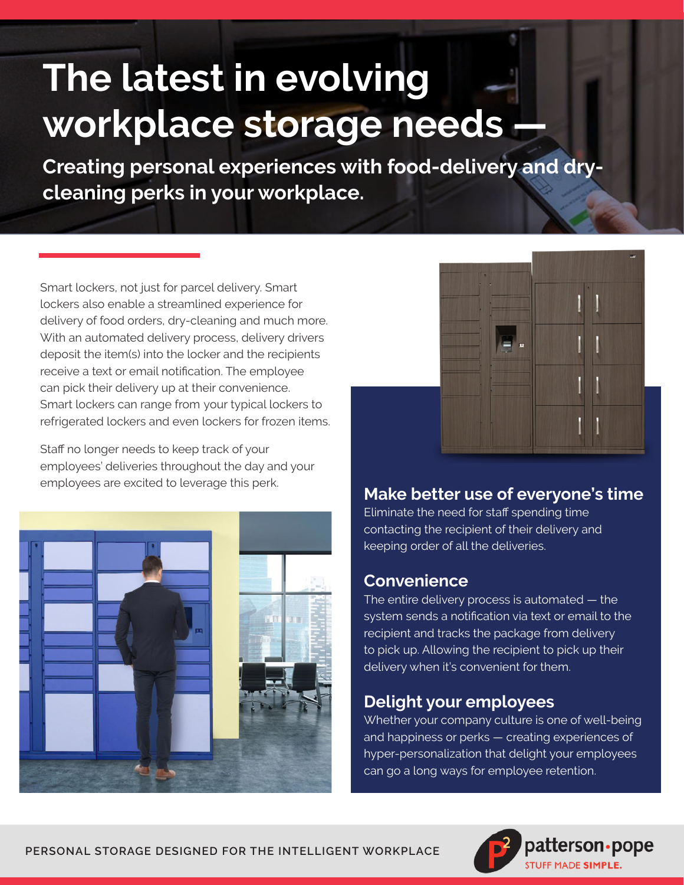# **The latest in evolving workplace storage needs —**

**Creating personal experiences with food-delivery and drycleaning perks in your workplace.**

Smart lockers, not just for parcel delivery. Smart lockers also enable a streamlined experience for delivery of food orders, dry-cleaning and much more. With an automated delivery process, delivery drivers deposit the item(s) into the locker and the recipients receive a text or email notification. The employee can pick their delivery up at their convenience. Smart lockers can range from your typical lockers to refrigerated lockers and even lockers for frozen items.

Staff no longer needs to keep track of your employees' deliveries throughout the day and your employees are excited to leverage this perk.





# **Make better use of everyone's time**

Eliminate the need for staff spending time contacting the recipient of their delivery and keeping order of all the deliveries.

#### **Convenience**

The entire delivery process is automated — the system sends a notification via text or email to the recipient and tracks the package from delivery to pick up. Allowing the recipient to pick up their delivery when it's convenient for them.

### **Delight your employees**

Whether your company culture is one of well-being and happiness or perks — creating experiences of hyper-personalization that delight your employees can go a long ways for employee retention.